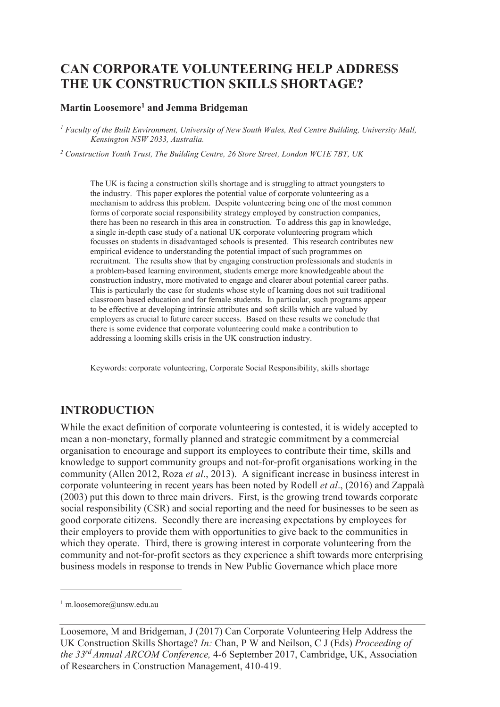# **CAN CORPORATE VOLUNTEERING HELP ADDRESS THE UK CONSTRUCTION SKILLS SHORTAGE?**

### **Martin Loosemore<sup>1</sup> and Jemma Bridgeman**

<sup>1</sup> Faculty of the Built Environment, University of New South Wales, Red Centre Building, University Mall, *Kensington NSW 2033, Australia.* 

<sup>2</sup> Construction Youth Trust, The Building Centre, 26 Store Street, London WC1E 7BT, UK

The UK is facing a construction skills shortage and is struggling to attract youngsters to the industry. This paper explores the potential value of corporate volunteering as a mechanism to address this problem. Despite volunteering being one of the most common forms of corporate social responsibility strategy employed by construction companies, there has been no research in this area in construction. To address this gap in knowledge, a single in-depth case study of a national UK corporate volunteering program which focusses on students in disadvantaged schools is presented. This research contributes new empirical evidence to understanding the potential impact of such programmes on recruitment. The results show that by engaging construction professionals and students in a problem-based learning environment, students emerge more knowledgeable about the construction industry, more motivated to engage and clearer about potential career paths. This is particularly the case for students whose style of learning does not suit traditional classroom based education and for female students. In particular, such programs appear to be effective at developing intrinsic attributes and soft skills which are valued by employers as crucial to future career success. Based on these results we conclude that there is some evidence that corporate volunteering could make a contribution to addressing a looming skills crisis in the UK construction industry.

Keywords: corporate volunteering, Corporate Social Responsibility, skills shortage

## **INTRODUCTION**

While the exact definition of corporate volunteering is contested, it is widely accepted to mean a non-monetary, formally planned and strategic commitment by a commercial organisation to encourage and support its employees to contribute their time, skills and knowledge to support community groups and not-for-profit organisations working in the community (Allen 2012, Roza *et al*., 2013). A significant increase in business interest in corporate volunteering in recent years has been noted by Rodell *et al*., (2016) and Zappalà (2003) put this down to three main drivers. First, is the growing trend towards corporate social responsibility (CSR) and social reporting and the need for businesses to be seen as good corporate citizens. Secondly there are increasing expectations by employees for their employers to provide them with opportunities to give back to the communities in which they operate. Third, there is growing interest in corporate volunteering from the community and not-for-profit sectors as they experience a shift towards more enterprising business models in response to trends in New Public Governance which place more

-

<sup>1</sup> m.loosemore@unsw.edu.au

Loosemore, M and Bridgeman, J (2017) Can Corporate Volunteering Help Address the UK Construction Skills Shortage? *In:* Chan, P W and Neilson, C J (Eds) *Proceeding of the 33rd Annual ARCOM Conference,* 4-6 September 2017, Cambridge, UK, Association of Researchers in Construction Management, 410-419.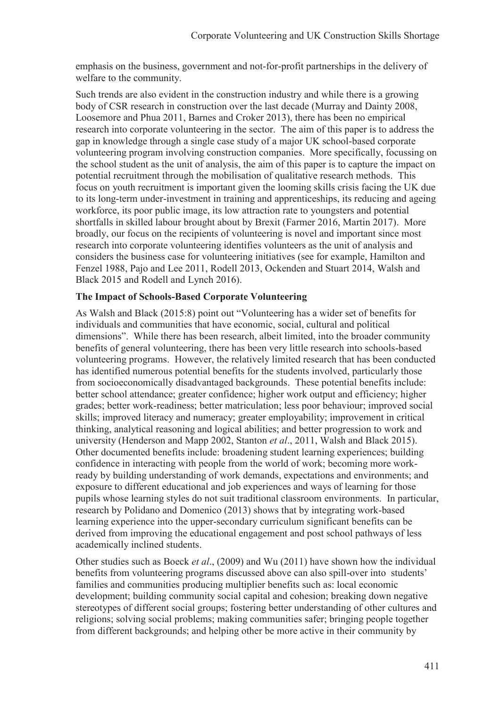emphasis on the business, government and not-for-profit partnerships in the delivery of welfare to the community.

Such trends are also evident in the construction industry and while there is a growing body of CSR research in construction over the last decade (Murray and Dainty 2008, Loosemore and Phua 2011, Barnes and Croker 2013), there has been no empirical research into corporate volunteering in the sector. The aim of this paper is to address the gap in knowledge through a single case study of a major UK school-based corporate volunteering program involving construction companies. More specifically, focussing on the school student as the unit of analysis, the aim of this paper is to capture the impact on potential recruitment through the mobilisation of qualitative research methods. This focus on youth recruitment is important given the looming skills crisis facing the UK due to its long-term under-investment in training and apprenticeships, its reducing and ageing workforce, its poor public image, its low attraction rate to youngsters and potential shortfalls in skilled labour brought about by Brexit (Farmer 2016, Martin 2017). More broadly, our focus on the recipients of volunteering is novel and important since most research into corporate volunteering identifies volunteers as the unit of analysis and considers the business case for volunteering initiatives (see for example, Hamilton and Fenzel 1988, Pajo and Lee 2011, Rodell 2013, Ockenden and Stuart 2014, Walsh and Black 2015 and Rodell and Lynch 2016).

#### **The Impact of Schools-Based Corporate Volunteering**

As Walsh and Black (2015:8) point out "Volunteering has a wider set of benefits for individuals and communities that have economic, social, cultural and political dimensions". While there has been research, albeit limited, into the broader community benefits of general volunteering, there has been very little research into schools-based volunteering programs. However, the relatively limited research that has been conducted has identified numerous potential benefits for the students involved, particularly those from socioeconomically disadvantaged backgrounds. These potential benefits include: better school attendance; greater confidence; higher work output and efficiency; higher grades; better work-readiness; better matriculation; less poor behaviour; improved social skills; improved literacy and numeracy; greater employability; improvement in critical thinking, analytical reasoning and logical abilities; and better progression to work and university (Henderson and Mapp 2002, Stanton *et al*., 2011, Walsh and Black 2015). Other documented benefits include: broadening student learning experiences; building confidence in interacting with people from the world of work; becoming more workready by building understanding of work demands, expectations and environments; and exposure to different educational and job experiences and ways of learning for those pupils whose learning styles do not suit traditional classroom environments. In particular, research by Polidano and Domenico (2013) shows that by integrating work-based learning experience into the upper-secondary curriculum significant benefits can be derived from improving the educational engagement and post school pathways of less academically inclined students.

Other studies such as Boeck *et al*., (2009) and Wu (2011) have shown how the individual benefits from volunteering programs discussed above can also spill-over into students' families and communities producing multiplier benefits such as: local economic development; building community social capital and cohesion; breaking down negative stereotypes of different social groups; fostering better understanding of other cultures and religions; solving social problems; making communities safer; bringing people together from different backgrounds; and helping other be more active in their community by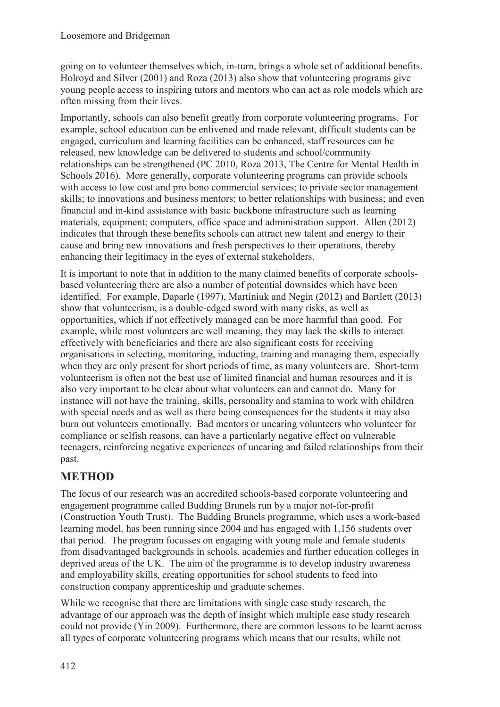going on to volunteer themselves which, in-turn, brings a whole set of additional benefits. Holroyd and Silver (2001) and Roza (2013) also show that volunteering programs give young people access to inspiring tutors and mentors who can act as role models which are often missing from their lives.

Importantly, schools can also benefit greatly from corporate volunteering programs. For example, school education can be enlivened and made relevant, difficult students can be engaged, curriculum and learning facilities can be enhanced, staff resources can be released, new knowledge can be delivered to students and school/community relationships can be strengthened (PC 2010, Roza 2013, The Centre for Mental Health in Schools 2016). More generally, corporate volunteering programs can provide schools with access to low cost and pro bono commercial services; to private sector management skills; to innovations and business mentors; to better relationships with business; and even financial and in-kind assistance with basic backbone infrastructure such as learning materials, equipment; computers, office space and administration support. Allen (2012) indicates that through these benefits schools can attract new talent and energy to their cause and bring new innovations and fresh perspectives to their operations, thereby enhancing their legitimacy in the eyes of external stakeholders.

It is important to note that in addition to the many claimed benefits of corporate schoolsbased volunteering there are also a number of potential downsides which have been identified. For example, Daparle (1997), Martiniuk and Negin (2012) and Bartlett (2013) show that volunteerism, is a double-edged sword with many risks, as well as opportunities, which if not effectively managed can be more harmful than good. For example, while most volunteers are well meaning, they may lack the skills to interact effectively with beneficiaries and there are also significant costs for receiving organisations in selecting, monitoring, inducting, training and managing them, especially when they are only present for short periods of time, as many volunteers are. Short-term volunteerism is often not the best use of limited financial and human resources and it is also very important to be clear about what volunteers can and cannot do. Many for instance will not have the training, skills, personality and stamina to work with children with special needs and as well as there being consequences for the students it may also burn out volunteers emotionally. Bad mentors or uncaring volunteers who volunteer for compliance or selfish reasons, can have a particularly negative effect on vulnerable teenagers, reinforcing negative experiences of uncaring and failed relationships from their past.

# **METHOD**

The focus of our research was an accredited schools-based corporate volunteering and engagement programme called Budding Brunels run by a major not-for-profit (Construction Youth Trust). The Budding Brunels programme, which uses a work-based learning model, has been running since 2004 and has engaged with 1,156 students over that period. The program focusses on engaging with young male and female students from disadvantaged backgrounds in schools, academies and further education colleges in deprived areas of the UK. The aim of the programme is to develop industry awareness and employability skills, creating opportunities for school students to feed into construction company apprenticeship and graduate schemes.

While we recognise that there are limitations with single case study research, the advantage of our approach was the depth of insight which multiple case study research could not provide (Yin 2009). Furthermore, there are common lessons to be learnt across all types of corporate volunteering programs which means that our results, while not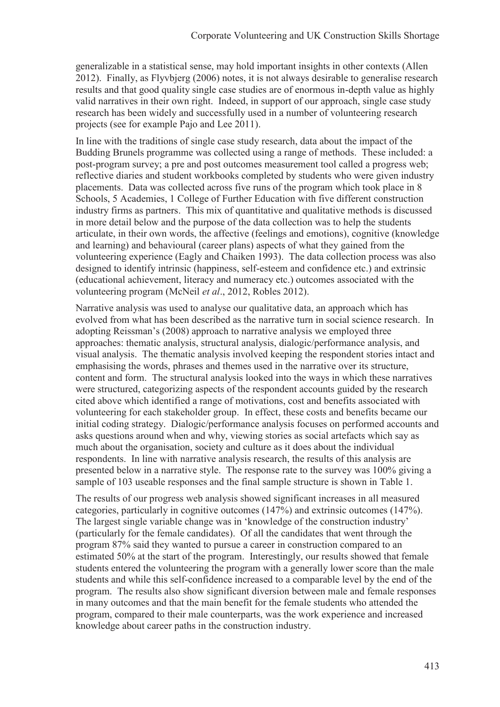generalizable in a statistical sense, may hold important insights in other contexts (Allen 2012). Finally, as Flyvbjerg (2006) notes, it is not always desirable to generalise research results and that good quality single case studies are of enormous in-depth value as highly valid narratives in their own right. Indeed, in support of our approach, single case study research has been widely and successfully used in a number of volunteering research projects (see for example Pajo and Lee 2011).

In line with the traditions of single case study research, data about the impact of the Budding Brunels programme was collected using a range of methods. These included: a post-program survey; a pre and post outcomes measurement tool called a progress web; reflective diaries and student workbooks completed by students who were given industry placements. Data was collected across five runs of the program which took place in 8 Schools, 5 Academies, 1 College of Further Education with five different construction industry firms as partners. This mix of quantitative and qualitative methods is discussed in more detail below and the purpose of the data collection was to help the students articulate, in their own words, the affective (feelings and emotions), cognitive (knowledge and learning) and behavioural (career plans) aspects of what they gained from the volunteering experience (Eagly and Chaiken 1993). The data collection process was also designed to identify intrinsic (happiness, self-esteem and confidence etc.) and extrinsic (educational achievement, literacy and numeracy etc.) outcomes associated with the volunteering program (McNeil *et al*., 2012, Robles 2012).

Narrative analysis was used to analyse our qualitative data, an approach which has evolved from what has been described as the narrative turn in social science research. In adopting Reissman's (2008) approach to narrative analysis we employed three approaches: thematic analysis, structural analysis, dialogic/performance analysis, and visual analysis. The thematic analysis involved keeping the respondent stories intact and emphasising the words, phrases and themes used in the narrative over its structure, content and form. The structural analysis looked into the ways in which these narratives were structured, categorizing aspects of the respondent accounts guided by the research cited above which identified a range of motivations, cost and benefits associated with volunteering for each stakeholder group. In effect, these costs and benefits became our initial coding strategy. Dialogic/performance analysis focuses on performed accounts and asks questions around when and why, viewing stories as social artefacts which say as much about the organisation, society and culture as it does about the individual respondents. In line with narrative analysis research, the results of this analysis are presented below in a narrative style. The response rate to the survey was 100% giving a sample of 103 useable responses and the final sample structure is shown in Table 1.

The results of our progress web analysis showed significant increases in all measured categories, particularly in cognitive outcomes (147%) and extrinsic outcomes (147%). The largest single variable change was in 'knowledge of the construction industry' (particularly for the female candidates). Of all the candidates that went through the program 87% said they wanted to pursue a career in construction compared to an estimated 50% at the start of the program. Interestingly, our results showed that female students entered the volunteering the program with a generally lower score than the male students and while this self-confidence increased to a comparable level by the end of the program. The results also show significant diversion between male and female responses in many outcomes and that the main benefit for the female students who attended the program, compared to their male counterparts, was the work experience and increased knowledge about career paths in the construction industry.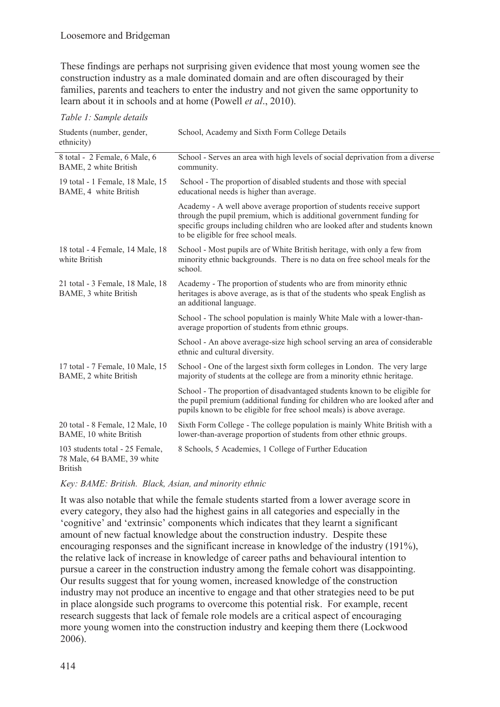These findings are perhaps not surprising given evidence that most young women see the construction industry as a male dominated domain and are often discouraged by their families, parents and teachers to enter the industry and not given the same opportunity to learn about it in schools and at home (Powell *et al*., 2010).

*Table 1: Sample details* 

| Students (number, gender,<br>ethnicity)                                         | School, Academy and Sixth Form College Details                                                                                                                                                                                                                        |
|---------------------------------------------------------------------------------|-----------------------------------------------------------------------------------------------------------------------------------------------------------------------------------------------------------------------------------------------------------------------|
| 8 total - 2 Female, 6 Male, 6<br>BAME, 2 white British                          | School - Serves an area with high levels of social deprivation from a diverse<br>community.                                                                                                                                                                           |
| 19 total - 1 Female, 18 Male, 15<br>BAME, 4 white British                       | School - The proportion of disabled students and those with special<br>educational needs is higher than average.                                                                                                                                                      |
|                                                                                 | Academy - A well above average proportion of students receive support<br>through the pupil premium, which is additional government funding for<br>specific groups including children who are looked after and students known<br>to be eligible for free school meals. |
| 18 total - 4 Female, 14 Male, 18<br>white British                               | School - Most pupils are of White British heritage, with only a few from<br>minority ethnic backgrounds. There is no data on free school meals for the<br>school.                                                                                                     |
| 21 total - 3 Female, 18 Male, 18<br>BAME, 3 white British                       | Academy - The proportion of students who are from minority ethnic<br>heritages is above average, as is that of the students who speak English as<br>an additional language.                                                                                           |
|                                                                                 | School - The school population is mainly White Male with a lower-than-<br>average proportion of students from ethnic groups.                                                                                                                                          |
|                                                                                 | School - An above average-size high school serving an area of considerable<br>ethnic and cultural diversity.                                                                                                                                                          |
| 17 total - 7 Female, 10 Male, 15<br>BAME, 2 white British                       | School - One of the largest sixth form colleges in London. The very large<br>majority of students at the college are from a minority ethnic heritage.                                                                                                                 |
|                                                                                 | School - The proportion of disadvantaged students known to be eligible for<br>the pupil premium (additional funding for children who are looked after and<br>pupils known to be eligible for free school meals) is above average.                                     |
| 20 total - 8 Female, 12 Male, 10<br>BAME, 10 white British                      | Sixth Form College - The college population is mainly White British with a<br>lower-than-average proportion of students from other ethnic groups.                                                                                                                     |
| 103 students total - 25 Female,<br>78 Male, 64 BAME, 39 white<br><b>British</b> | 8 Schools, 5 Academies, 1 College of Further Education                                                                                                                                                                                                                |

#### *Key: BAME: British. Black, Asian, and minority ethnic*

It was also notable that while the female students started from a lower average score in every category, they also had the highest gains in all categories and especially in the 'cognitive' and 'extrinsic' components which indicates that they learnt a significant amount of new factual knowledge about the construction industry. Despite these encouraging responses and the significant increase in knowledge of the industry (191%), the relative lack of increase in knowledge of career paths and behavioural intention to pursue a career in the construction industry among the female cohort was disappointing. Our results suggest that for young women, increased knowledge of the construction industry may not produce an incentive to engage and that other strategies need to be put in place alongside such programs to overcome this potential risk. For example, recent research suggests that lack of female role models are a critical aspect of encouraging more young women into the construction industry and keeping them there (Lockwood 2006).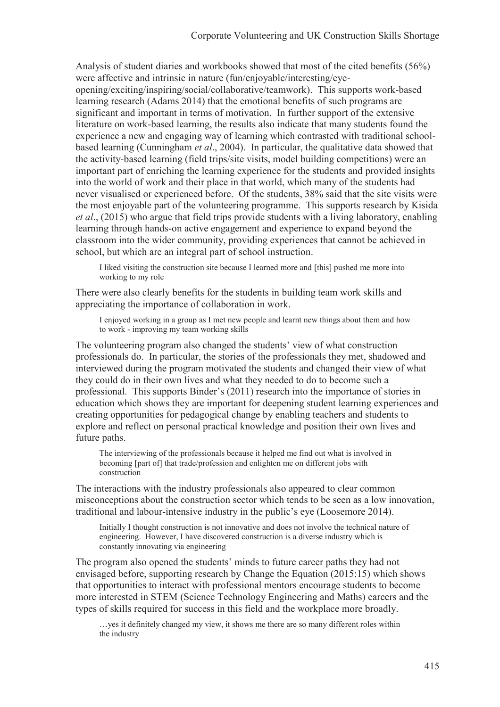Analysis of student diaries and workbooks showed that most of the cited benefits (56%) were affective and intrinsic in nature (fun/enjoyable/interesting/eye-

opening/exciting/inspiring/social/collaborative/teamwork). This supports work-based learning research (Adams 2014) that the emotional benefits of such programs are significant and important in terms of motivation. In further support of the extensive literature on work-based learning, the results also indicate that many students found the experience a new and engaging way of learning which contrasted with traditional schoolbased learning (Cunningham *et al*., 2004). In particular, the qualitative data showed that the activity-based learning (field trips/site visits, model building competitions) were an important part of enriching the learning experience for the students and provided insights into the world of work and their place in that world, which many of the students had never visualised or experienced before. Of the students, 38% said that the site visits were the most enjoyable part of the volunteering programme. This supports research by Kisida *et al*., (2015) who argue that field trips provide students with a living laboratory, enabling learning through hands-on active engagement and experience to expand beyond the classroom into the wider community, providing experiences that cannot be achieved in school, but which are an integral part of school instruction.

I liked visiting the construction site because I learned more and [this] pushed me more into working to my role

There were also clearly benefits for the students in building team work skills and appreciating the importance of collaboration in work.

I enjoyed working in a group as I met new people and learnt new things about them and how to work - improving my team working skills

The volunteering program also changed the students' view of what construction professionals do. In particular, the stories of the professionals they met, shadowed and interviewed during the program motivated the students and changed their view of what they could do in their own lives and what they needed to do to become such a professional. This supports Binder's (2011) research into the importance of stories in education which shows they are important for deepening student learning experiences and creating opportunities for pedagogical change by enabling teachers and students to explore and reflect on personal practical knowledge and position their own lives and future paths.

The interviewing of the professionals because it helped me find out what is involved in becoming [part of] that trade/profession and enlighten me on different jobs with construction

The interactions with the industry professionals also appeared to clear common misconceptions about the construction sector which tends to be seen as a low innovation, traditional and labour-intensive industry in the public's eye (Loosemore 2014).

Initially I thought construction is not innovative and does not involve the technical nature of engineering. However, I have discovered construction is a diverse industry which is constantly innovating via engineering

The program also opened the students' minds to future career paths they had not envisaged before, supporting research by Change the Equation (2015:15) which shows that opportunities to interact with professional mentors encourage students to become more interested in STEM (Science Technology Engineering and Maths) careers and the types of skills required for success in this field and the workplace more broadly.

…yes it definitely changed my view, it shows me there are so many different roles within the industry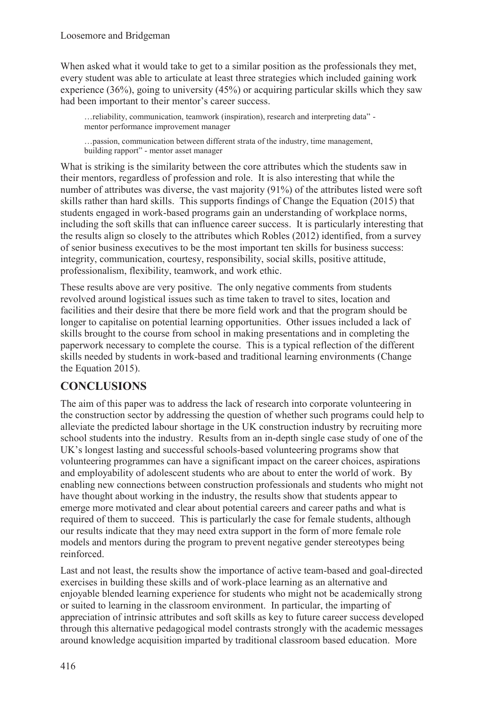When asked what it would take to get to a similar position as the professionals they met, every student was able to articulate at least three strategies which included gaining work experience (36%), going to university (45%) or acquiring particular skills which they saw had been important to their mentor's career success.

…reliability, communication, teamwork (inspiration), research and interpreting data" mentor performance improvement manager

…passion, communication between different strata of the industry, time management, building rapport" - mentor asset manager

What is striking is the similarity between the core attributes which the students saw in their mentors, regardless of profession and role. It is also interesting that while the number of attributes was diverse, the vast majority (91%) of the attributes listed were soft skills rather than hard skills. This supports findings of Change the Equation (2015) that students engaged in work-based programs gain an understanding of workplace norms, including the soft skills that can influence career success. It is particularly interesting that the results align so closely to the attributes which Robles (2012) identified, from a survey of senior business executives to be the most important ten skills for business success: integrity, communication, courtesy, responsibility, social skills, positive attitude, professionalism, flexibility, teamwork, and work ethic.

These results above are very positive. The only negative comments from students revolved around logistical issues such as time taken to travel to sites, location and facilities and their desire that there be more field work and that the program should be longer to capitalise on potential learning opportunities. Other issues included a lack of skills brought to the course from school in making presentations and in completing the paperwork necessary to complete the course. This is a typical reflection of the different skills needed by students in work-based and traditional learning environments (Change the Equation 2015).

## **CONCLUSIONS**

The aim of this paper was to address the lack of research into corporate volunteering in the construction sector by addressing the question of whether such programs could help to alleviate the predicted labour shortage in the UK construction industry by recruiting more school students into the industry. Results from an in-depth single case study of one of the UK's longest lasting and successful schools-based volunteering programs show that volunteering programmes can have a significant impact on the career choices, aspirations and employability of adolescent students who are about to enter the world of work. By enabling new connections between construction professionals and students who might not have thought about working in the industry, the results show that students appear to emerge more motivated and clear about potential careers and career paths and what is required of them to succeed. This is particularly the case for female students, although our results indicate that they may need extra support in the form of more female role models and mentors during the program to prevent negative gender stereotypes being reinforced.

Last and not least, the results show the importance of active team-based and goal-directed exercises in building these skills and of work-place learning as an alternative and enjoyable blended learning experience for students who might not be academically strong or suited to learning in the classroom environment. In particular, the imparting of appreciation of intrinsic attributes and soft skills as key to future career success developed through this alternative pedagogical model contrasts strongly with the academic messages around knowledge acquisition imparted by traditional classroom based education. More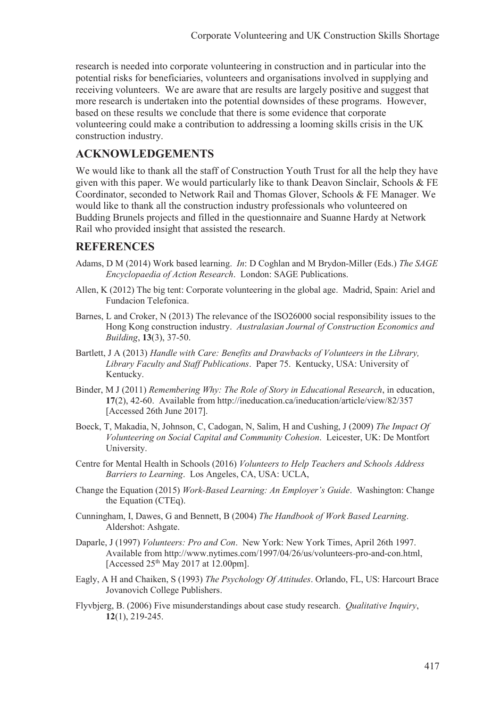research is needed into corporate volunteering in construction and in particular into the potential risks for beneficiaries, volunteers and organisations involved in supplying and receiving volunteers. We are aware that are results are largely positive and suggest that more research is undertaken into the potential downsides of these programs. However, based on these results we conclude that there is some evidence that corporate volunteering could make a contribution to addressing a looming skills crisis in the UK construction industry.

## **ACKNOWLEDGEMENTS**

We would like to thank all the staff of Construction Youth Trust for all the help they have given with this paper. We would particularly like to thank Deavon Sinclair, Schools & FE Coordinator, seconded to Network Rail and Thomas Glover, Schools & FE Manager. We would like to thank all the construction industry professionals who volunteered on Budding Brunels projects and filled in the questionnaire and Suanne Hardy at Network Rail who provided insight that assisted the research.

### **REFERENCES**

- Adams, D M (2014) Work based learning. *In*: D Coghlan and M Brydon-Miller (Eds.) *The SAGE Encyclopaedia of Action Research*. London: SAGE Publications.
- Allen, K (2012) The big tent: Corporate volunteering in the global age. Madrid, Spain: Ariel and Fundacion Telefonica.
- Barnes, L and Croker, N (2013) The relevance of the ISO26000 social responsibility issues to the Hong Kong construction industry. *Australasian Journal of Construction Economics and Building*, **13**(3), 37-50.
- Bartlett, J A (2013) *Handle with Care: Benefits and Drawbacks of Volunteers in the Library, Library Faculty and Staff Publications*. Paper 75. Kentucky, USA: University of Kentucky.
- Binder, M J (2011) *Remembering Why: The Role of Story in Educational Research*, in education, **17**(2), 42-60. Available from http://ineducation.ca/ineducation/article/view/82/357 [Accessed 26th June 2017].
- Boeck, T, Makadia, N, Johnson, C, Cadogan, N, Salim, H and Cushing, J (2009) *The Impact Of Volunteering on Social Capital and Community Cohesion*. Leicester, UK: De Montfort University.
- Centre for Mental Health in Schools (2016) *Volunteers to Help Teachers and Schools Address Barriers to Learning*. Los Angeles, CA, USA: UCLA,
- Change the Equation (2015) *Work-Based Learning: An Employer's Guide*. Washington: Change the Equation (CTEq).
- Cunningham, I, Dawes, G and Bennett, B (2004) *The Handbook of Work Based Learning*. Aldershot: Ashgate.
- Daparle, J (1997) *Volunteers: Pro and Con*. New York: New York Times, April 26th 1997. Available from http://www.nytimes.com/1997/04/26/us/volunteers-pro-and-con.html, [Accessed 25<sup>th</sup> May 2017 at 12.00pm].
- Eagly, A H and Chaiken, S (1993) *The Psychology Of Attitudes*. Orlando, FL, US: Harcourt Brace Jovanovich College Publishers.
- Flyvbjerg, B. (2006) Five misunderstandings about case study research. *Qualitative Inquiry*, **12**(1), 219-245.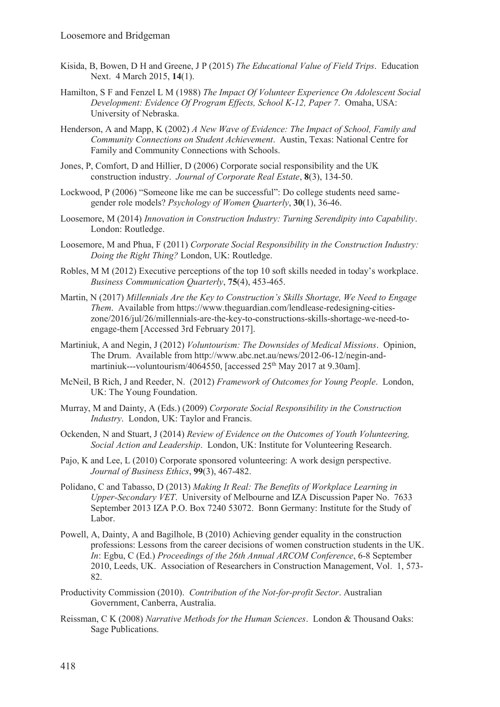- Kisida, B, Bowen, D H and Greene, J P (2015) *The Educational Value of Field Trips*. Education Next. 4 March 2015, **14**(1).
- Hamilton, S F and Fenzel L M (1988) *The Impact Of Volunteer Experience On Adolescent Social Development: Evidence Of Program Effects, School K-12, Paper 7*. Omaha, USA: University of Nebraska.
- Henderson, A and Mapp, K (2002) *A New Wave of Evidence: The Impact of School, Family and Community Connections on Student Achievement*. Austin, Texas: National Centre for Family and Community Connections with Schools.
- Jones, P, Comfort, D and Hillier, D (2006) Corporate social responsibility and the UK construction industry. *Journal of Corporate Real Estate*, **8**(3), 134-50.
- Lockwood, P (2006) "Someone like me can be successful": Do college students need samegender role models? *Psychology of Women Quarterly*, **30**(1), 36-46.
- Loosemore, M (2014) *Innovation in Construction Industry: Turning Serendipity into Capability*. London: Routledge.
- Loosemore, M and Phua, F (2011) *Corporate Social Responsibility in the Construction Industry: Doing the Right Thing?* London, UK: Routledge.
- Robles, M M (2012) Executive perceptions of the top 10 soft skills needed in today's workplace. *Business Communication Quarterly*, **75**(4), 453-465.
- Martin, N (2017) *Millennials Are the Key to Construction's Skills Shortage, We Need to Engage Them*. Available from https://www.theguardian.com/lendlease-redesigning-citieszone/2016/jul/26/millennials-are-the-key-to-constructions-skills-shortage-we-need-toengage-them [Accessed 3rd February 2017].
- Martiniuk, A and Negin, J (2012) *Voluntourism: The Downsides of Medical Missions*. Opinion, The Drum. Available from http://www.abc.net.au/news/2012-06-12/negin-andmartiniuk---voluntourism/4064550, [accessed  $25<sup>th</sup>$  May 2017 at 9.30am].
- McNeil, B Rich, J and Reeder, N. (2012) *Framework of Outcomes for Young People*. London, UK: The Young Foundation.
- Murray, M and Dainty, A (Eds.) (2009) *Corporate Social Responsibility in the Construction Industry*. London, UK: Taylor and Francis.
- Ockenden, N and Stuart, J (2014) *Review of Evidence on the Outcomes of Youth Volunteering, Social Action and Leadership*. London, UK: Institute for Volunteering Research.
- Pajo, K and Lee, L (2010) Corporate sponsored volunteering: A work design perspective. *Journal of Business Ethics*, **99**(3), 467-482.
- Polidano, C and Tabasso, D (2013) *Making It Real: The Benefits of Workplace Learning in Upper-Secondary VET*. University of Melbourne and IZA Discussion Paper No. 7633 September 2013 IZA P.O. Box 7240 53072. Bonn Germany: Institute for the Study of Labor.
- Powell, A, Dainty, A and Bagilhole, B (2010) Achieving gender equality in the construction professions: Lessons from the career decisions of women construction students in the UK. *In*: Egbu, C (Ed.) *Proceedings of the 26th Annual ARCOM Conference*, 6-8 September 2010, Leeds, UK. Association of Researchers in Construction Management, Vol. 1, 573- 82.
- Productivity Commission (2010). *Contribution of the Not-for-profit Sector*. Australian Government, Canberra, Australia.
- Reissman, C K (2008) *Narrative Methods for the Human Sciences*. London & Thousand Oaks: Sage Publications.